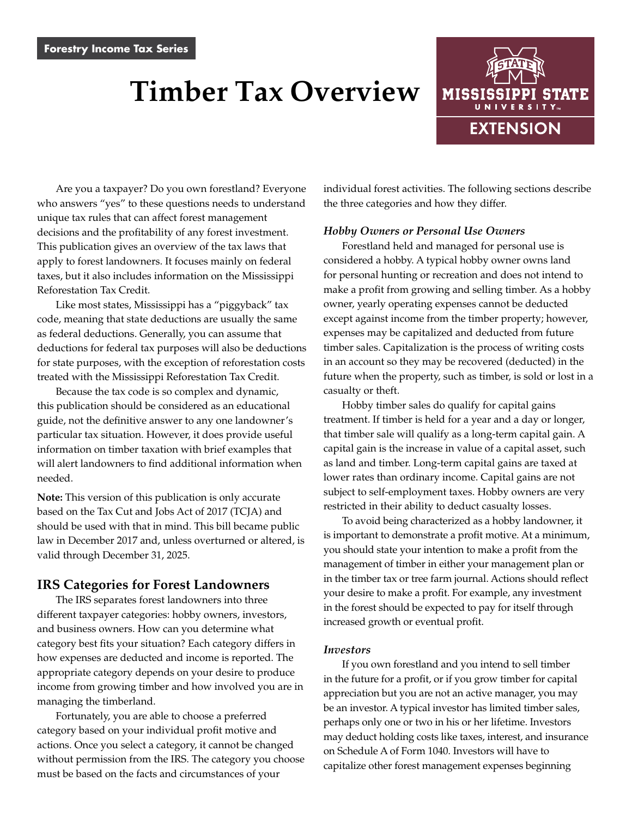# **Timber Tax Overview**



Are you a taxpayer? Do you own forestland? Everyone who answers "yes" to these questions needs to understand unique tax rules that can affect forest management decisions and the profitability of any forest investment. This publication gives an overview of the tax laws that apply to forest landowners. It focuses mainly on federal taxes, but it also includes information on the Mississippi Reforestation Tax Credit.

Like most states, Mississippi has a "piggyback" tax code, meaning that state deductions are usually the same as federal deductions. Generally, you can assume that deductions for federal tax purposes will also be deductions for state purposes, with the exception of reforestation costs treated with the Mississippi Reforestation Tax Credit.

Because the tax code is so complex and dynamic, this publication should be considered as an educational guide, not the definitive answer to any one landowner's particular tax situation. However, it does provide useful information on timber taxation with brief examples that will alert landowners to find additional information when needed.

**Note:** This version of this publication is only accurate based on the Tax Cut and Jobs Act of 2017 (TCJA) and should be used with that in mind. This bill became public law in December 2017 and, unless overturned or altered, is valid through December 31, 2025.

## **IRS Categories for Forest Landowners**

The IRS separates forest landowners into three different taxpayer categories: hobby owners, investors, and business owners. How can you determine what category best fits your situation? Each category differs in how expenses are deducted and income is reported. The appropriate category depends on your desire to produce income from growing timber and how involved you are in managing the timberland.

Fortunately, you are able to choose a preferred category based on your individual profit motive and actions. Once you select a category, it cannot be changed without permission from the IRS. The category you choose must be based on the facts and circumstances of your

individual forest activities. The following sections describe the three categories and how they differ.

#### *Hobby Owners or Personal Use Owners*

Forestland held and managed for personal use is considered a hobby. A typical hobby owner owns land for personal hunting or recreation and does not intend to make a profit from growing and selling timber. As a hobby owner, yearly operating expenses cannot be deducted except against income from the timber property; however, expenses may be capitalized and deducted from future timber sales. Capitalization is the process of writing costs in an account so they may be recovered (deducted) in the future when the property, such as timber, is sold or lost in a casualty or theft.

Hobby timber sales do qualify for capital gains treatment. If timber is held for a year and a day or longer, that timber sale will qualify as a long-term capital gain. A capital gain is the increase in value of a capital asset, such as land and timber. Long-term capital gains are taxed at lower rates than ordinary income. Capital gains are not subject to self-employment taxes. Hobby owners are very restricted in their ability to deduct casualty losses.

To avoid being characterized as a hobby landowner, it is important to demonstrate a profit motive. At a minimum, you should state your intention to make a profit from the management of timber in either your management plan or in the timber tax or tree farm journal. Actions should reflect your desire to make a profit. For example, any investment in the forest should be expected to pay for itself through increased growth or eventual profit.

#### *Investors*

If you own forestland and you intend to sell timber in the future for a profit, or if you grow timber for capital appreciation but you are not an active manager, you may be an investor. A typical investor has limited timber sales, perhaps only one or two in his or her lifetime. Investors may deduct holding costs like taxes, interest, and insurance on Schedule A of Form 1040. Investors will have to capitalize other forest management expenses beginning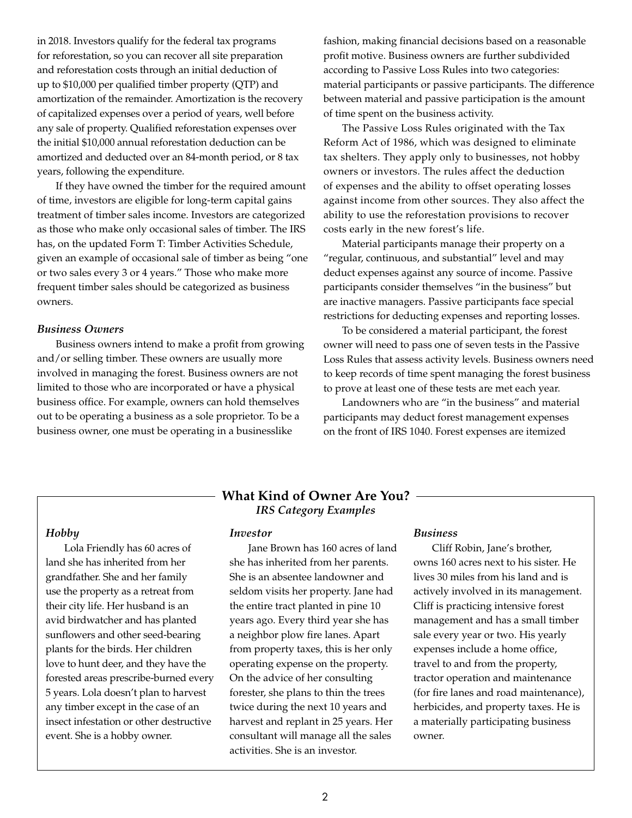in 2018. Investors qualify for the federal tax programs for reforestation, so you can recover all site preparation and reforestation costs through an initial deduction of up to \$10,000 per qualified timber property (QTP) and amortization of the remainder. Amortization is the recovery of capitalized expenses over a period of years, well before any sale of property. Qualified reforestation expenses over the initial \$10,000 annual reforestation deduction can be amortized and deducted over an 84-month period, or 8 tax years, following the expenditure.

If they have owned the timber for the required amount of time, investors are eligible for long-term capital gains treatment of timber sales income. Investors are categorized as those who make only occasional sales of timber. The IRS has, on the updated Form T: Timber Activities Schedule, given an example of occasional sale of timber as being "one or two sales every 3 or 4 years." Those who make more frequent timber sales should be categorized as business owners.

#### *Business Owners*

Business owners intend to make a profit from growing and/or selling timber. These owners are usually more involved in managing the forest. Business owners are not limited to those who are incorporated or have a physical business office. For example, owners can hold themselves out to be operating a business as a sole proprietor. To be a business owner, one must be operating in a businesslike

fashion, making financial decisions based on a reasonable profit motive. Business owners are further subdivided according to Passive Loss Rules into two categories: material participants or passive participants. The difference between material and passive participation is the amount of time spent on the business activity.

The Passive Loss Rules originated with the Tax Reform Act of 1986, which was designed to eliminate tax shelters. They apply only to businesses, not hobby owners or investors. The rules affect the deduction of expenses and the ability to offset operating losses against income from other sources. They also affect the ability to use the reforestation provisions to recover costs early in the new forest's life.

Material participants manage their property on a "regular, continuous, and substantial" level and may deduct expenses against any source of income. Passive participants consider themselves "in the business" but are inactive managers. Passive participants face special restrictions for deducting expenses and reporting losses.

To be considered a material participant, the forest owner will need to pass one of seven tests in the Passive Loss Rules that assess activity levels. Business owners need to keep records of time spent managing the forest business to prove at least one of these tests are met each year.

Landowners who are "in the business" and material participants may deduct forest management expenses on the front of IRS 1040. Forest expenses are itemized

#### *Hobby*

Lola Friendly has 60 acres of land she has inherited from her grandfather. She and her family use the property as a retreat from their city life. Her husband is an avid birdwatcher and has planted sunflowers and other seed-bearing plants for the birds. Her children love to hunt deer, and they have the forested areas prescribe-burned every 5 years. Lola doesn't plan to harvest any timber except in the case of an insect infestation or other destructive event. She is a hobby owner.

## **What Kind of Owner Are You?**  *IRS Category Examples*

#### *Investor*

Jane Brown has 160 acres of land she has inherited from her parents. She is an absentee landowner and seldom visits her property. Jane had the entire tract planted in pine 10 years ago. Every third year she has a neighbor plow fire lanes. Apart from property taxes, this is her only operating expense on the property. On the advice of her consulting forester, she plans to thin the trees twice during the next 10 years and harvest and replant in 25 years. Her consultant will manage all the sales activities. She is an investor.

#### *Business*

Cliff Robin, Jane's brother, owns 160 acres next to his sister. He lives 30 miles from his land and is actively involved in its management. Cliff is practicing intensive forest management and has a small timber sale every year or two. His yearly expenses include a home office, travel to and from the property, tractor operation and maintenance (for fire lanes and road maintenance), herbicides, and property taxes. He is a materially participating business owner.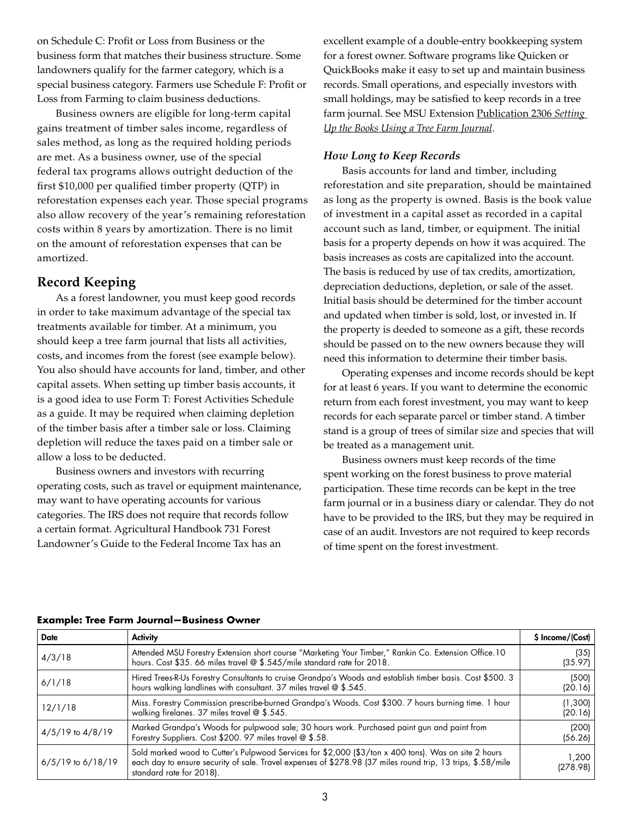on Schedule C: Profit or Loss from Business or the business form that matches their business structure. Some landowners qualify for the farmer category, which is a special business category. Farmers use Schedule F: Profit or Loss from Farming to claim business deductions.

Business owners are eligible for long-term capital gains treatment of timber sales income, regardless of sales method, as long as the required holding periods are met. As a business owner, use of the special federal tax programs allows outright deduction of the first \$10,000 per qualified timber property (QTP) in reforestation expenses each year. Those special programs also allow recovery of the year's remaining reforestation costs within 8 years by amortization. There is no limit on the amount of reforestation expenses that can be amortized.

# **Record Keeping**

As a forest landowner, you must keep good records in order to take maximum advantage of the special tax treatments available for timber. At a minimum, you should keep a tree farm journal that lists all activities, costs, and incomes from the forest (see example below). You also should have accounts for land, timber, and other capital assets. When setting up timber basis accounts, it is a good idea to use Form T: Forest Activities Schedule as a guide. It may be required when claiming depletion of the timber basis after a timber sale or loss. Claiming depletion will reduce the taxes paid on a timber sale or allow a loss to be deducted.

Business owners and investors with recurring operating costs, such as travel or equipment maintenance, may want to have operating accounts for various categories. The IRS does not require that records follow a certain format. Agricultural Handbook 731 Forest Landowner's Guide to the Federal Income Tax has an

excellent example of a double-entry bookkeeping system for a forest owner. Software programs like Quicken or QuickBooks make it easy to set up and maintain business records. Small operations, and especially investors with small holdings, may be satisfied to keep records in a tree farm journal. See MSU Extension [Publication 2306](http://extension.msstate.edu/publications/forestry-income-tax-series-setting-the-books-using-tree-farm-journal) *Setting [Up the Books Using a Tree Farm Journal](http://extension.msstate.edu/publications/forestry-income-tax-series-setting-the-books-using-tree-farm-journal)*.

## *How Long to Keep Records*

Basis accounts for land and timber, including reforestation and site preparation, should be maintained as long as the property is owned. Basis is the book value of investment in a capital asset as recorded in a capital account such as land, timber, or equipment. The initial basis for a property depends on how it was acquired. The basis increases as costs are capitalized into the account. The basis is reduced by use of tax credits, amortization, depreciation deductions, depletion, or sale of the asset. Initial basis should be determined for the timber account and updated when timber is sold, lost, or invested in. If the property is deeded to someone as a gift, these records should be passed on to the new owners because they will need this information to determine their timber basis.

Operating expenses and income records should be kept for at least 6 years. If you want to determine the economic return from each forest investment, you may want to keep records for each separate parcel or timber stand. A timber stand is a group of trees of similar size and species that will be treated as a management unit.

Business owners must keep records of the time spent working on the forest business to prove material participation. These time records can be kept in the tree farm journal or in a business diary or calendar. They do not have to be provided to the IRS, but they may be required in case of an audit. Investors are not required to keep records of time spent on the forest investment.

| <b>Date</b>           | <b>Activity</b>                                                                                                                                                                                                                                 | \$ Income/(Cost)   |
|-----------------------|-------------------------------------------------------------------------------------------------------------------------------------------------------------------------------------------------------------------------------------------------|--------------------|
| 4/3/18                | Attended MSU Forestry Extension short course "Marketing Your Timber," Rankin Co. Extension Office. 10<br>hours. Cost \$35. 66 miles travel @ \$.545/mile standard rate for 2018.                                                                | (35)<br>(35.97)    |
| 6/1/18                | Hired Trees-R-Us Forestry Consultants to cruise Grandpa's Woods and establish timber basis. Cost \$500. 3<br>hours walking landlines with consultant. 37 miles travel @ \$.545.                                                                 | (500)<br>(20.16)   |
| 12/1/18               | Miss. Forestry Commission prescribe-burned Grandpa's Woods. Cost \$300. 7 hours burning time. 1 hour<br>walking firelanes. 37 miles travel $@$ \$.545.                                                                                          | (1,300)<br>(20.16) |
| $4/5/19$ to $4/8/19$  | Marked Grandpa's Woods for pulpwood sale; 30 hours work. Purchased paint gun and paint from<br>Forestry Suppliers. Cost \$200. 97 miles travel @ \$.58.                                                                                         | (200)<br>(56.26)   |
| $6/5/19$ to $6/18/19$ | Sold marked wood to Cutter's Pulpwood Services for \$2,000 (\$3/ton x 400 tons). Was on site 2 hours<br>each day to ensure security of sale. Travel expenses of \$278.98 (37 miles round trip, 13 trips, \$.58/mile<br>standard rate for 2018). | 1.200<br>(278.98)  |

## **Example: Tree Farm Journal—Business Owner**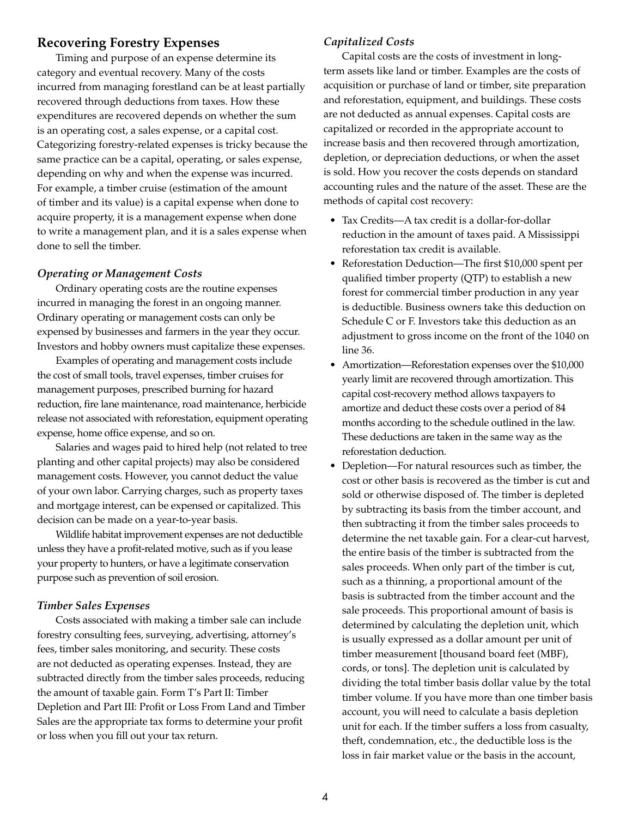## **Recovering Forestry Expenses**

Timing and purpose of an expense determine its category and eventual recovery. Many of the costs incurred from managing forestland can be at least partially recovered through deductions from taxes. How these expenditures are recovered depends on whether the sum is an operating cost, a sales expense, or a capital cost. Categorizing forestry-related expenses is tricky because the same practice can be a capital, operating, or sales expense, depending on why and when the expense was incurred. For example, a timber cruise (estimation of the amount of timber and its value) is a capital expense when done to acquire property, it is a management expense when done to write a management plan, and it is a sales expense when done to sell the timber.

#### *Operating or Management Costs*

Ordinary operating costs are the routine expenses incurred in managing the forest in an ongoing manner. Ordinary operating or management costs can only be expensed by businesses and farmers in the year they occur. Investors and hobby owners must capitalize these expenses.

Examples of operating and management costs include the cost of small tools, travel expenses, timber cruises for management purposes, prescribed burning for hazard reduction, fire lane maintenance, road maintenance, herbicide release not associated with reforestation, equipment operating expense, home office expense, and so on.

Salaries and wages paid to hired help (not related to tree planting and other capital projects) may also be considered management costs. However, you cannot deduct the value of your own labor. Carrying charges, such as property taxes and mortgage interest, can be expensed or capitalized. This decision can be made on a year-to-year basis.

Wildlife habitat improvement expenses are not deductible unless they have a profit-related motive, such as if you lease your property to hunters, or have a legitimate conservation purpose such as prevention of soil erosion.

#### *Timber Sales Expenses*

Costs associated with making a timber sale can include forestry consulting fees, surveying, advertising, attorney's fees, timber sales monitoring, and security. These costs are not deducted as operating expenses. Instead, they are subtracted directly from the timber sales proceeds, reducing the amount of taxable gain. Form T's Part II: Timber Depletion and Part III: Profit or Loss From Land and Timber Sales are the appropriate tax forms to determine your profit or loss when you fill out your tax return.

#### *Capitalized Costs*

Capital costs are the costs of investment in longterm assets like land or timber. Examples are the costs of acquisition or purchase of land or timber, site preparation and reforestation, equipment, and buildings. These costs are not deducted as annual expenses. Capital costs are capitalized or recorded in the appropriate account to increase basis and then recovered through amortization, depletion, or depreciation deductions, or when the asset is sold. How you recover the costs depends on standard accounting rules and the nature of the asset. These are the methods of capital cost recovery:

- Tax Credits—A tax credit is a dollar-for-dollar reduction in the amount of taxes paid. A Mississippi reforestation tax credit is available.
- Reforestation Deduction—The first \$10,000 spent per qualified timber property (QTP) to establish a new forest for commercial timber production in any year is deductible. Business owners take this deduction on Schedule C or F. Investors take this deduction as an adjustment to gross income on the front of the 1040 on line 36.
- Amortization—Reforestation expenses over the \$10,000 yearly limit are recovered through amortization. This capital cost-recovery method allows taxpayers to amortize and deduct these costs over a period of 84 months according to the schedule outlined in the law. These deductions are taken in the same way as the reforestation deduction.
- Depletion—For natural resources such as timber, the cost or other basis is recovered as the timber is cut and sold or otherwise disposed of. The timber is depleted by subtracting its basis from the timber account, and then subtracting it from the timber sales proceeds to determine the net taxable gain. For a clear-cut harvest, the entire basis of the timber is subtracted from the sales proceeds. When only part of the timber is cut, such as a thinning, a proportional amount of the basis is subtracted from the timber account and the sale proceeds. This proportional amount of basis is determined by calculating the depletion unit, which is usually expressed as a dollar amount per unit of timber measurement [thousand board feet (MBF), cords, or tons]. The depletion unit is calculated by dividing the total timber basis dollar value by the total timber volume. If you have more than one timber basis account, you will need to calculate a basis depletion unit for each. If the timber suffers a loss from casualty, theft, condemnation, etc., the deductible loss is the loss in fair market value or the basis in the account,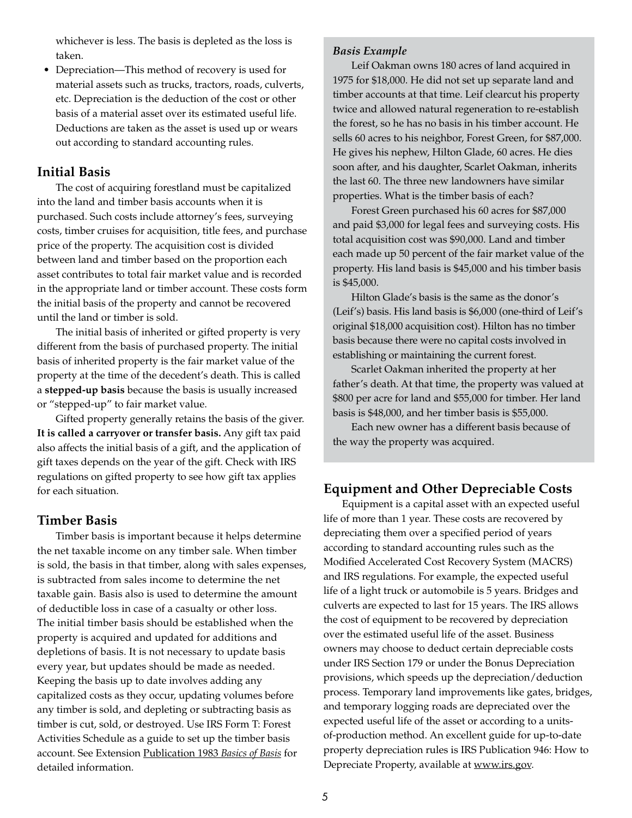whichever is less. The basis is depleted as the loss is taken.

• Depreciation—This method of recovery is used for material assets such as trucks, tractors, roads, culverts, etc. Depreciation is the deduction of the cost or other basis of a material asset over its estimated useful life. Deductions are taken as the asset is used up or wears out according to standard accounting rules.

## **Initial Basis**

The cost of acquiring forestland must be capitalized into the land and timber basis accounts when it is purchased. Such costs include attorney's fees, surveying costs, timber cruises for acquisition, title fees, and purchase price of the property. The acquisition cost is divided between land and timber based on the proportion each asset contributes to total fair market value and is recorded in the appropriate land or timber account. These costs form the initial basis of the property and cannot be recovered until the land or timber is sold.

The initial basis of inherited or gifted property is very different from the basis of purchased property. The initial basis of inherited property is the fair market value of the property at the time of the decedent's death. This is called a **stepped-up basis** because the basis is usually increased or "stepped-up" to fair market value.

Gifted property generally retains the basis of the giver. **It is called a carryover or transfer basis.** Any gift tax paid also affects the initial basis of a gift, and the application of gift taxes depends on the year of the gift. Check with IRS regulations on gifted property to see how gift tax applies for each situation.

## **Timber Basis**

Timber basis is important because it helps determine the net taxable income on any timber sale. When timber is sold, the basis in that timber, along with sales expenses, is subtracted from sales income to determine the net taxable gain. Basis also is used to determine the amount of deductible loss in case of a casualty or other loss. The initial timber basis should be established when the property is acquired and updated for additions and depletions of basis. It is not necessary to update basis every year, but updates should be made as needed. Keeping the basis up to date involves adding any capitalized costs as they occur, updating volumes before any timber is sold, and depleting or subtracting basis as timber is cut, sold, or destroyed. Use IRS Form T: Forest Activities Schedule as a guide to set up the timber basis account. See Extension [Publication 1983](http://extension.msstate.edu/publications/forestry-income-tax-series-i-basics-basis) *Basics of Basis* for detailed information.

### *Basis Example*

Leif Oakman owns 180 acres of land acquired in 1975 for \$18,000. He did not set up separate land and timber accounts at that time. Leif clearcut his property twice and allowed natural regeneration to re-establish the forest, so he has no basis in his timber account. He sells 60 acres to his neighbor, Forest Green, for \$87,000. He gives his nephew, Hilton Glade, 60 acres. He dies soon after, and his daughter, Scarlet Oakman, inherits the last 60. The three new landowners have similar properties. What is the timber basis of each?

Forest Green purchased his 60 acres for \$87,000 and paid \$3,000 for legal fees and surveying costs. His total acquisition cost was \$90,000. Land and timber each made up 50 percent of the fair market value of the property. His land basis is \$45,000 and his timber basis is \$45,000.

Hilton Glade's basis is the same as the donor's (Leif's) basis. His land basis is \$6,000 (one-third of Leif's original \$18,000 acquisition cost). Hilton has no timber basis because there were no capital costs involved in establishing or maintaining the current forest.

Scarlet Oakman inherited the property at her father's death. At that time, the property was valued at \$800 per acre for land and \$55,000 for timber. Her land basis is \$48,000, and her timber basis is \$55,000.

Each new owner has a different basis because of the way the property was acquired.

## **Equipment and Other Depreciable Costs**

Equipment is a capital asset with an expected useful life of more than 1 year. These costs are recovered by depreciating them over a specified period of years according to standard accounting rules such as the Modified Accelerated Cost Recovery System (MACRS) and IRS regulations. For example, the expected useful life of a light truck or automobile is 5 years. Bridges and culverts are expected to last for 15 years. The IRS allows the cost of equipment to be recovered by depreciation over the estimated useful life of the asset. Business owners may choose to deduct certain depreciable costs under IRS Section 179 or under the Bonus Depreciation provisions, which speeds up the depreciation/deduction process. Temporary land improvements like gates, bridges, and temporary logging roads are depreciated over the expected useful life of the asset or according to a unitsof-production method. An excellent guide for up-to-date property depreciation rules is IRS Publication 946: How to Depreciate Property, available at www.irs.gov.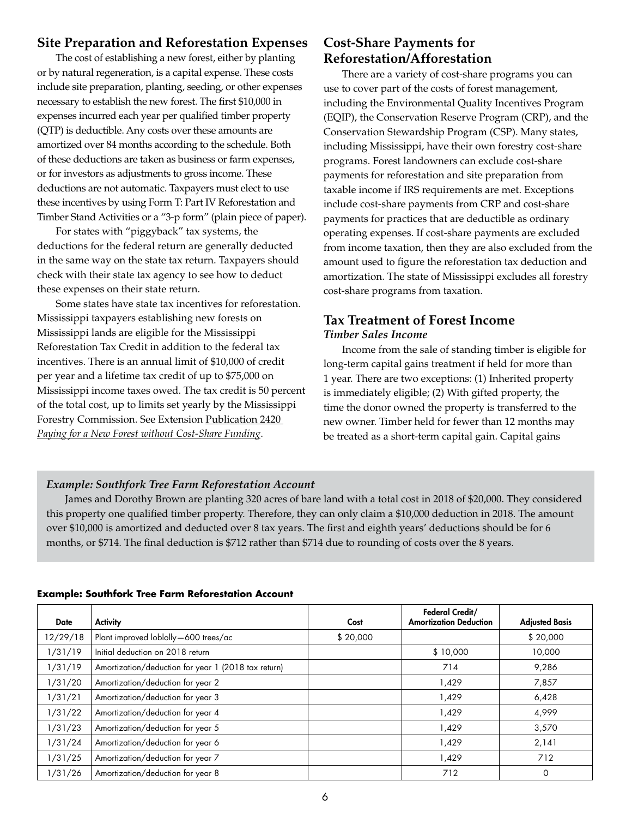# **Site Preparation and Reforestation Expenses**

The cost of establishing a new forest, either by planting or by natural regeneration, is a capital expense. These costs include site preparation, planting, seeding, or other expenses necessary to establish the new forest. The first \$10,000 in expenses incurred each year per qualified timber property (QTP) is deductible. Any costs over these amounts are amortized over 84 months according to the schedule. Both of these deductions are taken as business or farm expenses, or for investors as adjustments to gross income. These deductions are not automatic. Taxpayers must elect to use these incentives by using Form T: Part IV Reforestation and Timber Stand Activities or a "3-p form" (plain piece of paper).

For states with "piggyback" tax systems, the deductions for the federal return are generally deducted in the same way on the state tax return. Taxpayers should check with their state tax agency to see how to deduct these expenses on their state return.

Some states have state tax incentives for reforestation. Mississippi taxpayers establishing new forests on Mississippi lands are eligible for the Mississippi Reforestation Tax Credit in addition to the federal tax incentives. There is an annual limit of \$10,000 of credit per year and a lifetime tax credit of up to \$75,000 on Mississippi income taxes owed. The tax credit is 50 percent of the total cost, up to limits set yearly by the Mississippi Forestry Commission. See Extension [Publication 2420](http://extension.msstate.edu/publications/paying-for-new-forest-without-cost-share-funding)  *[Paying for a New Forest without Cost-Share Funding](http://extension.msstate.edu/publications/paying-for-new-forest-without-cost-share-funding)*.

# **Cost-Share Payments for Reforestation/Afforestation**

There are a variety of cost-share programs you can use to cover part of the costs of forest management, including the Environmental Quality Incentives Program (EQIP), the Conservation Reserve Program (CRP), and the Conservation Stewardship Program (CSP). Many states, including Mississippi, have their own forestry cost-share programs. Forest landowners can exclude cost-share payments for reforestation and site preparation from taxable income if IRS requirements are met. Exceptions include cost-share payments from CRP and cost-share payments for practices that are deductible as ordinary operating expenses. If cost-share payments are excluded from income taxation, then they are also excluded from the amount used to figure the reforestation tax deduction and amortization. The state of Mississippi excludes all forestry cost-share programs from taxation.

# **Tax Treatment of Forest Income** *Timber Sales Income*

Income from the sale of standing timber is eligible for long-term capital gains treatment if held for more than 1 year. There are two exceptions: (1) Inherited property is immediately eligible; (2) With gifted property, the time the donor owned the property is transferred to the new owner. Timber held for fewer than 12 months may be treated as a short-term capital gain. Capital gains

# *Example: Southfork Tree Farm Reforestation Account*

James and Dorothy Brown are planting 320 acres of bare land with a total cost in 2018 of \$20,000. They considered this property one qualified timber property. Therefore, they can only claim a \$10,000 deduction in 2018. The amount over \$10,000 is amortized and deducted over 8 tax years. The first and eighth years' deductions should be for 6 months, or \$714. The final deduction is \$712 rather than \$714 due to rounding of costs over the 8 years.

| <b>Date</b> | <b>Activity</b>                                     | Cost     | Federal Credit/<br><b>Amortization Deduction</b> | <b>Adjusted Basis</b> |
|-------------|-----------------------------------------------------|----------|--------------------------------------------------|-----------------------|
| 12/29/18    | Plant improved loblolly-600 trees/ac                | \$20,000 |                                                  | \$20,000              |
| 1/31/19     | Initial deduction on 2018 return                    |          | \$10,000                                         | 10,000                |
| 1/31/19     | Amortization/deduction for year 1 (2018 tax return) |          | 714                                              | 9,286                 |
| 1/31/20     | Amortization/deduction for year 2                   |          | 1,429                                            | 7,857                 |
| 1/31/21     | Amortization/deduction for year 3                   |          | 1,429                                            | 6,428                 |
| 1/31/22     | Amortization/deduction for year 4                   |          | 1,429                                            | 4,999                 |
| 1/31/23     | Amortization/deduction for year 5                   |          | 1,429                                            | 3,570                 |
| 1/31/24     | Amortization/deduction for year 6                   |          | 1,429                                            | 2,141                 |
| 1/31/25     | Amortization/deduction for year 7                   |          | 1,429                                            | 712                   |
| 1/31/26     | Amortization/deduction for year 8                   |          | 712                                              | 0                     |

## **Example: Southfork Tree Farm Reforestation Account**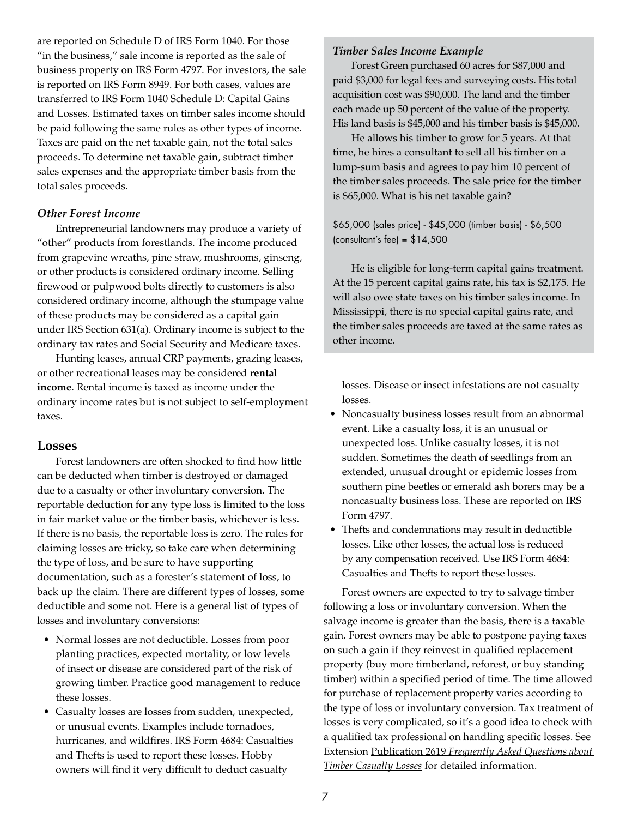are reported on Schedule D of IRS Form 1040. For those "in the business," sale income is reported as the sale of business property on IRS Form 4797. For investors, the sale is reported on IRS Form 8949. For both cases, values are transferred to IRS Form 1040 Schedule D: Capital Gains and Losses. Estimated taxes on timber sales income should be paid following the same rules as other types of income. Taxes are paid on the net taxable gain, not the total sales proceeds. To determine net taxable gain, subtract timber sales expenses and the appropriate timber basis from the total sales proceeds.

#### *Other Forest Income*

Entrepreneurial landowners may produce a variety of "other" products from forestlands. The income produced from grapevine wreaths, pine straw, mushrooms, ginseng, or other products is considered ordinary income. Selling firewood or pulpwood bolts directly to customers is also considered ordinary income, although the stumpage value of these products may be considered as a capital gain under IRS Section 631(a). Ordinary income is subject to the ordinary tax rates and Social Security and Medicare taxes.

Hunting leases, annual CRP payments, grazing leases, or other recreational leases may be considered **rental income**. Rental income is taxed as income under the ordinary income rates but is not subject to self-employment taxes.

### **Losses**

Forest landowners are often shocked to find how little can be deducted when timber is destroyed or damaged due to a casualty or other involuntary conversion. The reportable deduction for any type loss is limited to the loss in fair market value or the timber basis, whichever is less. If there is no basis, the reportable loss is zero. The rules for claiming losses are tricky, so take care when determining the type of loss, and be sure to have supporting documentation, such as a forester's statement of loss, to back up the claim. There are different types of losses, some deductible and some not. Here is a general list of types of losses and involuntary conversions:

- Normal losses are not deductible. Losses from poor planting practices, expected mortality, or low levels of insect or disease are considered part of the risk of growing timber. Practice good management to reduce these losses.
- Casualty losses are losses from sudden, unexpected, or unusual events. Examples include tornadoes, hurricanes, and wildfires. IRS Form 4684: Casualties and Thefts is used to report these losses. Hobby owners will find it very difficult to deduct casualty

#### *Timber Sales Income Example*

Forest Green purchased 60 acres for \$87,000 and paid \$3,000 for legal fees and surveying costs. His total acquisition cost was \$90,000. The land and the timber each made up 50 percent of the value of the property. His land basis is \$45,000 and his timber basis is \$45,000.

He allows his timber to grow for 5 years. At that time, he hires a consultant to sell all his timber on a lump-sum basis and agrees to pay him 10 percent of the timber sales proceeds. The sale price for the timber is \$65,000. What is his net taxable gain?

\$65,000 (sales price) - \$45,000 (timber basis) - \$6,500 (consultant's fee) =  $$14,500$ 

He is eligible for long-term capital gains treatment. At the 15 percent capital gains rate, his tax is \$2,175. He will also owe state taxes on his timber sales income. In Mississippi, there is no special capital gains rate, and the timber sales proceeds are taxed at the same rates as other income.

losses. Disease or insect infestations are not casualty losses.

- Noncasualty business losses result from an abnormal event. Like a casualty loss, it is an unusual or unexpected loss. Unlike casualty losses, it is not sudden. Sometimes the death of seedlings from an extended, unusual drought or epidemic losses from southern pine beetles or emerald ash borers may be a noncasualty business loss. These are reported on IRS Form 4797.
- Thefts and condemnations may result in deductible losses. Like other losses, the actual loss is reduced by any compensation received. Use IRS Form 4684: Casualties and Thefts to report these losses.

Forest owners are expected to try to salvage timber following a loss or involuntary conversion. When the salvage income is greater than the basis, there is a taxable gain. Forest owners may be able to postpone paying taxes on such a gain if they reinvest in qualified replacement property (buy more timberland, reforest, or buy standing timber) within a specified period of time. The time allowed for purchase of replacement property varies according to the type of loss or involuntary conversion. Tax treatment of losses is very complicated, so it's a good idea to check with a qualified tax professional on handling specific losses. See Extension Publication 2619 *[Frequently Asked Questions about](http://extension.msstate.edu/publications/frequently-asked-questions-about-timber-casualty-losses)  [Timber Casualty Losses](http://extension.msstate.edu/publications/frequently-asked-questions-about-timber-casualty-losses)* for detailed information.